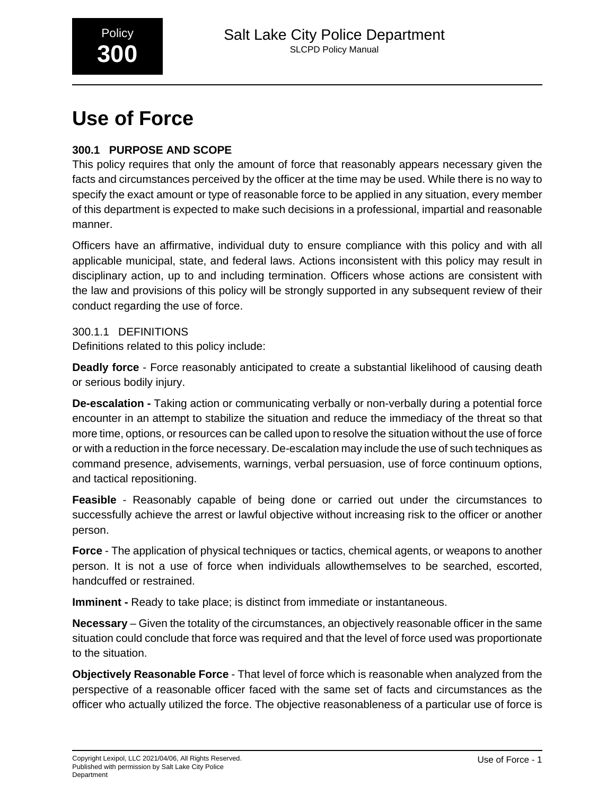

# **Use of Force**

## **300.1 PURPOSE AND SCOPE**

This policy requires that only the amount of force that reasonably appears necessary given the facts and circumstances perceived by the officer at the time may be used. While there is no way to specify the exact amount or type of reasonable force to be applied in any situation, every member of this department is expected to make such decisions in a professional, impartial and reasonable manner.

Officers have an affirmative, individual duty to ensure compliance with this policy and with all applicable municipal, state, and federal laws. Actions inconsistent with this policy may result in disciplinary action, up to and including termination. Officers whose actions are consistent with the law and provisions of this policy will be strongly supported in any subsequent review of their conduct regarding the use of force.

## 300.1.1 DEFINITIONS

Definitions related to this policy include:

**Deadly force** - Force reasonably anticipated to create a substantial likelihood of causing death or serious bodily injury.

**De-escalation -** Taking action or communicating verbally or non-verbally during a potential force encounter in an attempt to stabilize the situation and reduce the immediacy of the threat so that more time, options, or resources can be called upon to resolve the situation without the use of force or with a reduction in the force necessary. De-escalation may include the use of such techniques as command presence, advisements, warnings, verbal persuasion, use of force continuum options, and tactical repositioning.

**Feasible** - Reasonably capable of being done or carried out under the circumstances to successfully achieve the arrest or lawful objective without increasing risk to the officer or another person.

**Force** - The application of physical techniques or tactics, chemical agents, or weapons to another person. It is not a use of force when individuals allowthemselves to be searched, escorted, handcuffed or restrained.

**Imminent - Ready to take place; is distinct from immediate or instantaneous.** 

**Necessary** – Given the totality of the circumstances, an objectively reasonable officer in the same situation could conclude that force was required and that the level of force used was proportionate to the situation.

**Objectively Reasonable Force** - That level of force which is reasonable when analyzed from the perspective of a reasonable officer faced with the same set of facts and circumstances as the officer who actually utilized the force. The objective reasonableness of a particular use of force is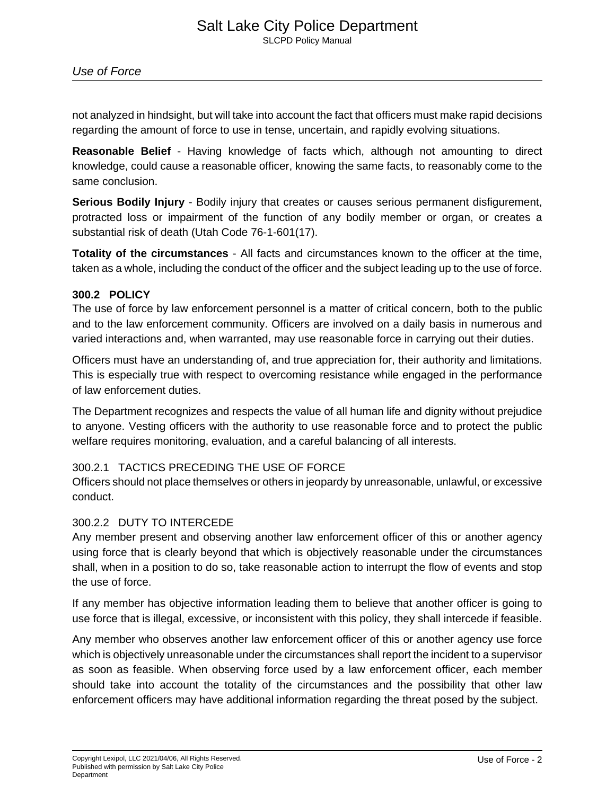not analyzed in hindsight, but will take into account the fact that officers must make rapid decisions regarding the amount of force to use in tense, uncertain, and rapidly evolving situations.

**Reasonable Belief** - Having knowledge of facts which, although not amounting to direct knowledge, could cause a reasonable officer, knowing the same facts, to reasonably come to the same conclusion.

**Serious Bodily Injury** - Bodily injury that creates or causes serious permanent disfigurement, protracted loss or impairment of the function of any bodily member or organ, or creates a substantial risk of death (Utah Code 76-1-601(17).

**Totality of the circumstances** - All facts and circumstances known to the officer at the time, taken as a whole, including the conduct of the officer and the subject leading up to the use of force.

## **300.2 POLICY**

The use of force by law enforcement personnel is a matter of critical concern, both to the public and to the law enforcement community. Officers are involved on a daily basis in numerous and varied interactions and, when warranted, may use reasonable force in carrying out their duties.

Officers must have an understanding of, and true appreciation for, their authority and limitations. This is especially true with respect to overcoming resistance while engaged in the performance of law enforcement duties.

The Department recognizes and respects the value of all human life and dignity without prejudice to anyone. Vesting officers with the authority to use reasonable force and to protect the public welfare requires monitoring, evaluation, and a careful balancing of all interests.

## 300.2.1 TACTICS PRECEDING THE USE OF FORCE

Officers should not place themselves or others in jeopardy by unreasonable, unlawful, or excessive conduct.

## 300.2.2 DUTY TO INTERCEDE

Any member present and observing another law enforcement officer of this or another agency using force that is clearly beyond that which is objectively reasonable under the circumstances shall, when in a position to do so, take reasonable action to interrupt the flow of events and stop the use of force.

If any member has objective information leading them to believe that another officer is going to use force that is illegal, excessive, or inconsistent with this policy, they shall intercede if feasible.

Any member who observes another law enforcement officer of this or another agency use force which is objectively unreasonable under the circumstances shall report the incident to a supervisor as soon as feasible. When observing force used by a law enforcement officer, each member should take into account the totality of the circumstances and the possibility that other law enforcement officers may have additional information regarding the threat posed by the subject.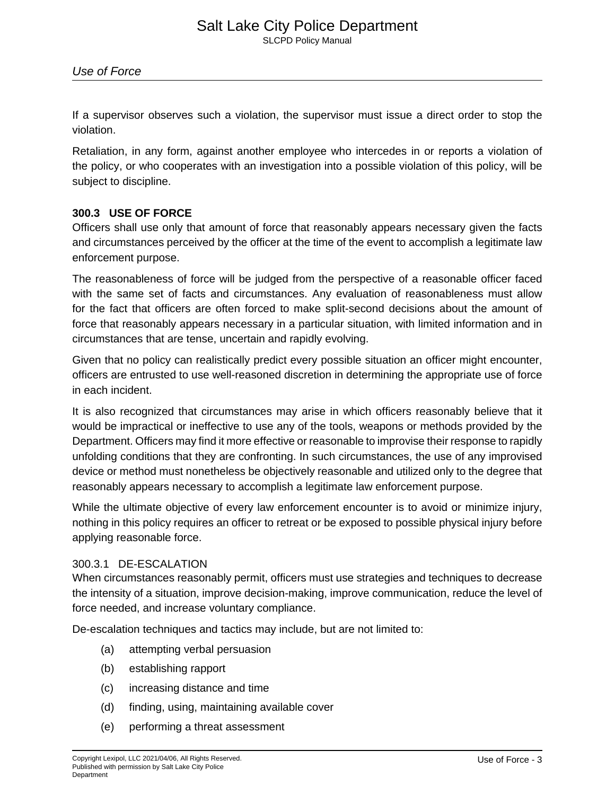If a supervisor observes such a violation, the supervisor must issue a direct order to stop the violation.

Retaliation, in any form, against another employee who intercedes in or reports a violation of the policy, or who cooperates with an investigation into a possible violation of this policy, will be subject to discipline.

## **300.3 USE OF FORCE**

Officers shall use only that amount of force that reasonably appears necessary given the facts and circumstances perceived by the officer at the time of the event to accomplish a legitimate law enforcement purpose.

The reasonableness of force will be judged from the perspective of a reasonable officer faced with the same set of facts and circumstances. Any evaluation of reasonableness must allow for the fact that officers are often forced to make split-second decisions about the amount of force that reasonably appears necessary in a particular situation, with limited information and in circumstances that are tense, uncertain and rapidly evolving.

Given that no policy can realistically predict every possible situation an officer might encounter, officers are entrusted to use well-reasoned discretion in determining the appropriate use of force in each incident.

It is also recognized that circumstances may arise in which officers reasonably believe that it would be impractical or ineffective to use any of the tools, weapons or methods provided by the Department. Officers may find it more effective or reasonable to improvise their response to rapidly unfolding conditions that they are confronting. In such circumstances, the use of any improvised device or method must nonetheless be objectively reasonable and utilized only to the degree that reasonably appears necessary to accomplish a legitimate law enforcement purpose.

While the ultimate objective of every law enforcement encounter is to avoid or minimize injury, nothing in this policy requires an officer to retreat or be exposed to possible physical injury before applying reasonable force.

## 300.3.1 DE-ESCALATION

When circumstances reasonably permit, officers must use strategies and techniques to decrease the intensity of a situation, improve decision-making, improve communication, reduce the level of force needed, and increase voluntary compliance.

De-escalation techniques and tactics may include, but are not limited to:

- (a) attempting verbal persuasion
- (b) establishing rapport
- (c) increasing distance and time
- (d) finding, using, maintaining available cover
- (e) performing a threat assessment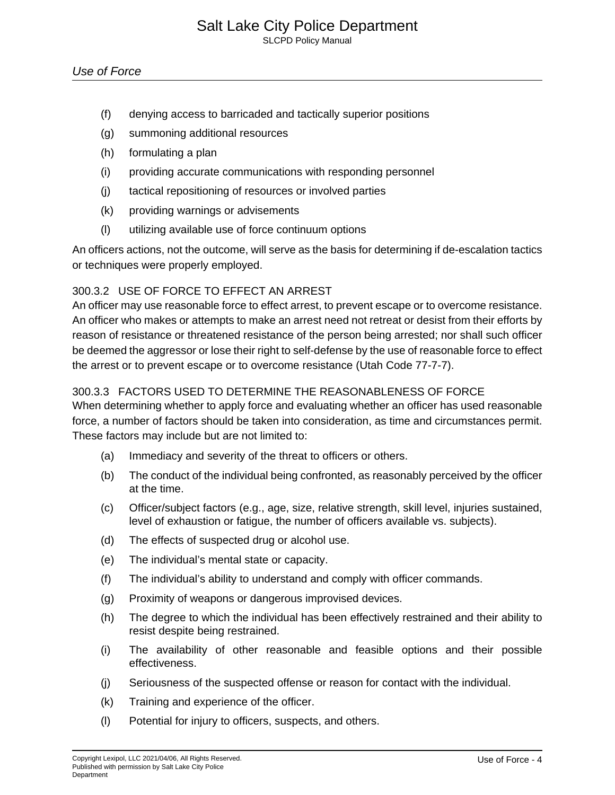- (f) denying access to barricaded and tactically superior positions
- (g) summoning additional resources
- (h) formulating a plan
- (i) providing accurate communications with responding personnel
- (j) tactical repositioning of resources or involved parties
- (k) providing warnings or advisements
- (l) utilizing available use of force continuum options

An officers actions, not the outcome, will serve as the basis for determining if de-escalation tactics or techniques were properly employed.

## 300.3.2 USE OF FORCE TO EFFECT AN ARREST

An officer may use reasonable force to effect arrest, to prevent escape or to overcome resistance. An officer who makes or attempts to make an arrest need not retreat or desist from their efforts by reason of resistance or threatened resistance of the person being arrested; nor shall such officer be deemed the aggressor or lose their right to self-defense by the use of reasonable force to effect the arrest or to prevent escape or to overcome resistance (Utah Code 77-7-7).

## 300.3.3 FACTORS USED TO DETERMINE THE REASONABLENESS OF FORCE

When determining whether to apply force and evaluating whether an officer has used reasonable force, a number of factors should be taken into consideration, as time and circumstances permit. These factors may include but are not limited to:

- (a) Immediacy and severity of the threat to officers or others.
- (b) The conduct of the individual being confronted, as reasonably perceived by the officer at the time.
- (c) Officer/subject factors (e.g., age, size, relative strength, skill level, injuries sustained, level of exhaustion or fatigue, the number of officers available vs. subjects).
- (d) The effects of suspected drug or alcohol use.
- (e) The individual's mental state or capacity.
- (f) The individual's ability to understand and comply with officer commands.
- (g) Proximity of weapons or dangerous improvised devices.
- (h) The degree to which the individual has been effectively restrained and their ability to resist despite being restrained.
- (i) The availability of other reasonable and feasible options and their possible effectiveness.
- (j) Seriousness of the suspected offense or reason for contact with the individual.
- (k) Training and experience of the officer.
- (l) Potential for injury to officers, suspects, and others.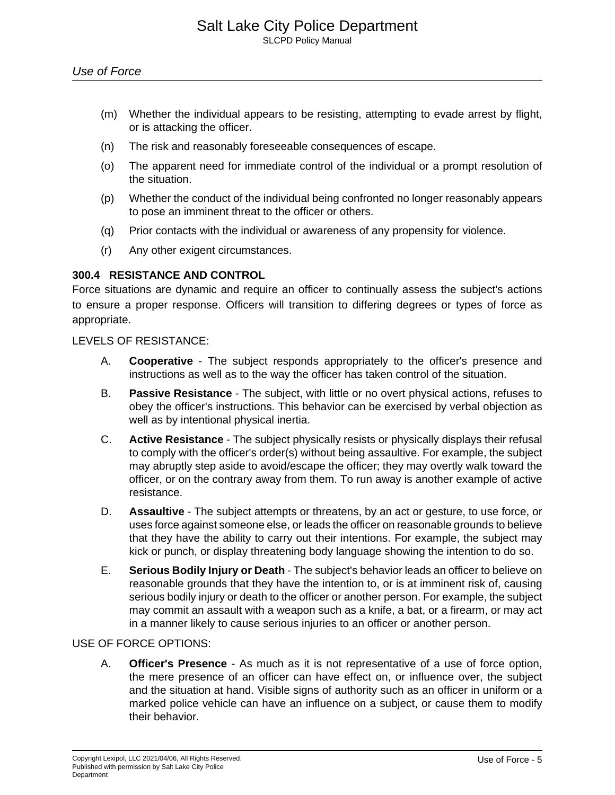- (m) Whether the individual appears to be resisting, attempting to evade arrest by flight, or is attacking the officer.
- (n) The risk and reasonably foreseeable consequences of escape.
- (o) The apparent need for immediate control of the individual or a prompt resolution of the situation.
- (p) Whether the conduct of the individual being confronted no longer reasonably appears to pose an imminent threat to the officer or others.
- (q) Prior contacts with the individual or awareness of any propensity for violence.
- (r) Any other exigent circumstances.

## **300.4 RESISTANCE AND CONTROL**

Force situations are dynamic and require an officer to continually assess the subject's actions to ensure a proper response. Officers will transition to differing degrees or types of force as appropriate.

#### LEVELS OF RESISTANCE:

- A. **Cooperative** The subject responds appropriately to the officer's presence and instructions as well as to the way the officer has taken control of the situation.
- B. **Passive Resistance** The subject, with little or no overt physical actions, refuses to obey the officer's instructions. This behavior can be exercised by verbal objection as well as by intentional physical inertia.
- C. **Active Resistance** The subject physically resists or physically displays their refusal to comply with the officer's order(s) without being assaultive. For example, the subject may abruptly step aside to avoid/escape the officer; they may overtly walk toward the officer, or on the contrary away from them. To run away is another example of active resistance.
- D. **Assaultive** The subject attempts or threatens, by an act or gesture, to use force, or uses force against someone else, or leads the officer on reasonable grounds to believe that they have the ability to carry out their intentions. For example, the subject may kick or punch, or display threatening body language showing the intention to do so.
- E. **Serious Bodily Injury or Death** The subject's behavior leads an officer to believe on reasonable grounds that they have the intention to, or is at imminent risk of, causing serious bodily injury or death to the officer or another person. For example, the subject may commit an assault with a weapon such as a knife, a bat, or a firearm, or may act in a manner likely to cause serious injuries to an officer or another person.

## USE OF FORCE OPTIONS:

A. **Officer's Presence** - As much as it is not representative of a use of force option, the mere presence of an officer can have effect on, or influence over, the subject and the situation at hand. Visible signs of authority such as an officer in uniform or a marked police vehicle can have an influence on a subject, or cause them to modify their behavior.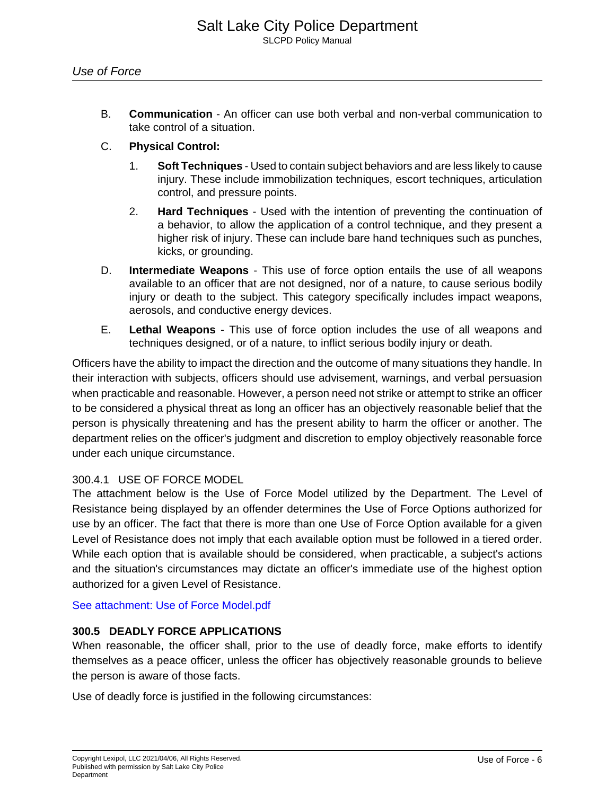B. **Communication** - An officer can use both verbal and non-verbal communication to take control of a situation.

## C. **Physical Control:**

- 1. **Soft Techniques** Used to contain subject behaviors and are less likely to cause injury. These include immobilization techniques, escort techniques, articulation control, and pressure points.
- 2. **Hard Techniques** Used with the intention of preventing the continuation of a behavior, to allow the application of a control technique, and they present a higher risk of injury. These can include bare hand techniques such as punches, kicks, or grounding.
- D. **Intermediate Weapons** This use of force option entails the use of all weapons available to an officer that are not designed, nor of a nature, to cause serious bodily injury or death to the subject. This category specifically includes impact weapons, aerosols, and conductive energy devices.
- E. **Lethal Weapons** This use of force option includes the use of all weapons and techniques designed, or of a nature, to inflict serious bodily injury or death.

Officers have the ability to impact the direction and the outcome of many situations they handle. In their interaction with subjects, officers should use advisement, warnings, and verbal persuasion when practicable and reasonable. However, a person need not strike or attempt to strike an officer to be considered a physical threat as long an officer has an objectively reasonable belief that the person is physically threatening and has the present ability to harm the officer or another. The department relies on the officer's judgment and discretion to employ objectively reasonable force under each unique circumstance.

## 300.4.1 USE OF FORCE MODEL

The attachment below is the Use of Force Model utilized by the Department. The Level of Resistance being displayed by an offender determines the Use of Force Options authorized for use by an officer. The fact that there is more than one Use of Force Option available for a given Level of Resistance does not imply that each available option must be followed in a tiered order. While each option that is available should be considered, when practicable, a subject's actions and the situation's circumstances may dictate an officer's immediate use of the highest option authorized for a given Level of Resistance.

[See attachment: Use of Force Model.pdf](#page-12-0)

## **300.5 DEADLY FORCE APPLICATIONS**

When reasonable, the officer shall, prior to the use of deadly force, make efforts to identify themselves as a peace officer, unless the officer has objectively reasonable grounds to believe the person is aware of those facts.

Use of deadly force is justified in the following circumstances: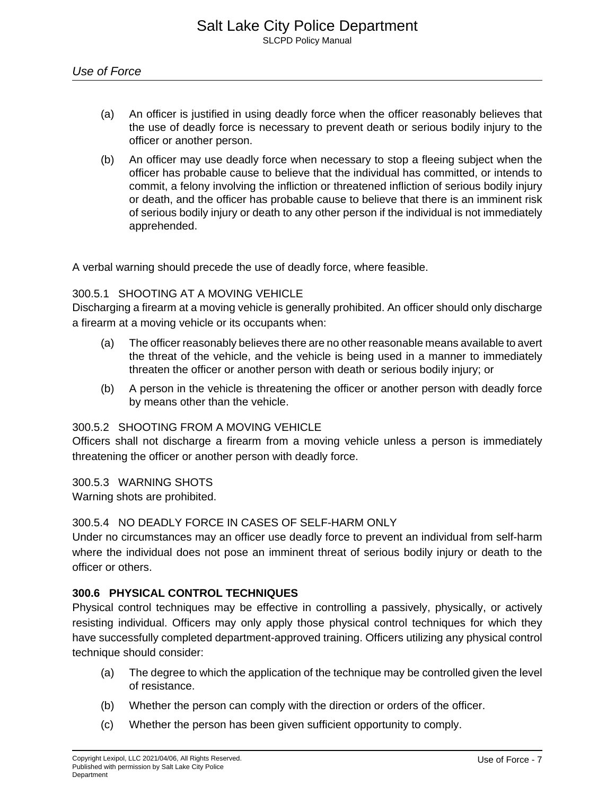- (a) An officer is justified in using deadly force when the officer reasonably believes that the use of deadly force is necessary to prevent death or serious bodily injury to the officer or another person.
- (b) An officer may use deadly force when necessary to stop a fleeing subject when the officer has probable cause to believe that the individual has committed, or intends to commit, a felony involving the infliction or threatened infliction of serious bodily injury or death, and the officer has probable cause to believe that there is an imminent risk of serious bodily injury or death to any other person if the individual is not immediately apprehended.

A verbal warning should precede the use of deadly force, where feasible.

## 300.5.1 SHOOTING AT A MOVING VEHICLE

Discharging a firearm at a moving vehicle is generally prohibited. An officer should only discharge a firearm at a moving vehicle or its occupants when:

- (a) The officer reasonably believes there are no other reasonable means available to avert the threat of the vehicle, and the vehicle is being used in a manner to immediately threaten the officer or another person with death or serious bodily injury; or
- (b) A person in the vehicle is threatening the officer or another person with deadly force by means other than the vehicle.

#### 300.5.2 SHOOTING FROM A MOVING VEHICLE

Officers shall not discharge a firearm from a moving vehicle unless a person is immediately threatening the officer or another person with deadly force.

300.5.3 WARNING SHOTS

Warning shots are prohibited.

#### 300.5.4 NO DEADLY FORCE IN CASES OF SELF-HARM ONLY

Under no circumstances may an officer use deadly force to prevent an individual from self-harm where the individual does not pose an imminent threat of serious bodily injury or death to the officer or others.

## **300.6 PHYSICAL CONTROL TECHNIQUES**

Physical control techniques may be effective in controlling a passively, physically, or actively resisting individual. Officers may only apply those physical control techniques for which they have successfully completed department-approved training. Officers utilizing any physical control technique should consider:

- (a) The degree to which the application of the technique may be controlled given the level of resistance.
- (b) Whether the person can comply with the direction or orders of the officer.
- (c) Whether the person has been given sufficient opportunity to comply.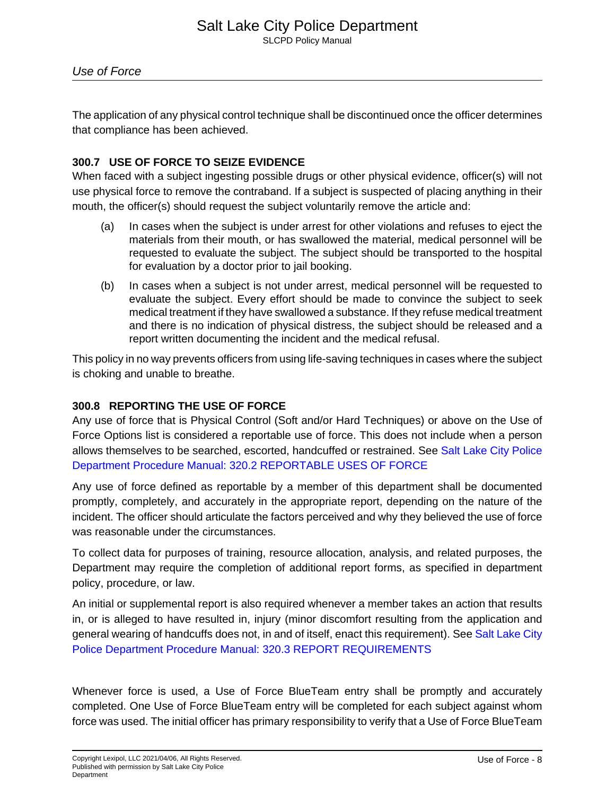The application of any physical control technique shall be discontinued once the officer determines that compliance has been achieved.

## **300.7 USE OF FORCE TO SEIZE EVIDENCE**

When faced with a subject ingesting possible drugs or other physical evidence, officer(s) will not use physical force to remove the contraband. If a subject is suspected of placing anything in their mouth, the officer(s) should request the subject voluntarily remove the article and:

- (a) In cases when the subject is under arrest for other violations and refuses to eject the materials from their mouth, or has swallowed the material, medical personnel will be requested to evaluate the subject. The subject should be transported to the hospital for evaluation by a doctor prior to jail booking.
- (b) In cases when a subject is not under arrest, medical personnel will be requested to evaluate the subject. Every effort should be made to convince the subject to seek medical treatment if they have swallowed a substance. If they refuse medical treatment and there is no indication of physical distress, the subject should be released and a report written documenting the incident and the medical refusal.

This policy in no way prevents officers from using life-saving techniques in cases where the subject is choking and unable to breathe.

## **300.8 REPORTING THE USE OF FORCE**

Any use of force that is Physical Control (Soft and/or Hard Techniques) or above on the Use of Force Options list is considered a reportable use of force. This does not include when a person allows themselves to be searched, escorted, handcuffed or restrained. See [Salt Lake City Police](1321419056632987780) [Department Procedure Manual: 320.2 REPORTABLE USES OF FORCE](1321419056632987780)

Any use of force defined as reportable by a member of this department shall be documented promptly, completely, and accurately in the appropriate report, depending on the nature of the incident. The officer should articulate the factors perceived and why they believed the use of force was reasonable under the circumstances.

To collect data for purposes of training, resource allocation, analysis, and related purposes, the Department may require the completion of additional report forms, as specified in department policy, procedure, or law.

An initial or supplemental report is also required whenever a member takes an action that results in, or is alleged to have resulted in, injury (minor discomfort resulting from the application and general wearing of handcuffs does not, in and of itself, enact this requirement). See [Salt Lake City](1320814458649424980) [Police Department Procedure Manual: 320.3 REPORT REQUIREMENTS](1320814458649424980)

Whenever force is used, a Use of Force BlueTeam entry shall be promptly and accurately completed. One Use of Force BlueTeam entry will be completed for each subject against whom force was used. The initial officer has primary responsibility to verify that a Use of Force BlueTeam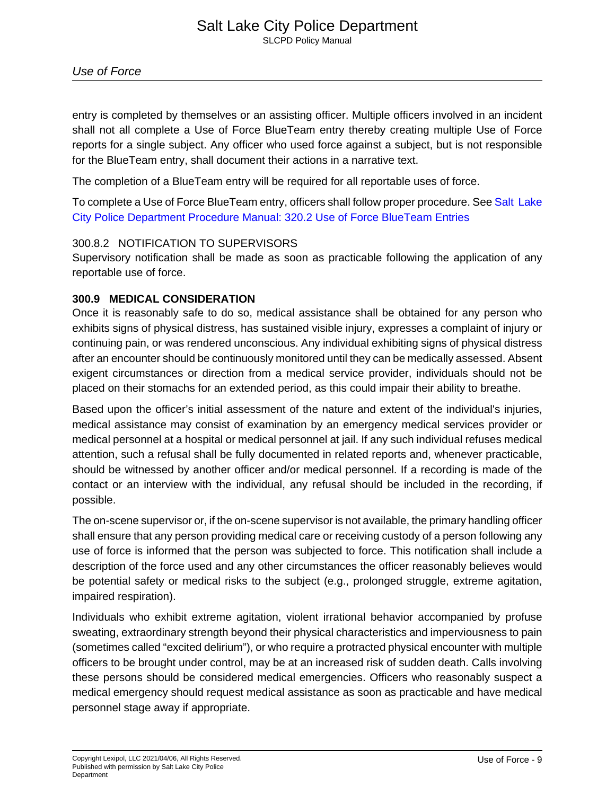entry is completed by themselves or an assisting officer. Multiple officers involved in an incident shall not all complete a Use of Force BlueTeam entry thereby creating multiple Use of Force reports for a single subject. Any officer who used force against a subject, but is not responsible for the BlueTeam entry, shall document their actions in a narrative text.

The completion of a BlueTeam entry will be required for all reportable uses of force.

To complete a Use of Force BlueTeam entry, officers shall follow proper procedure. See [Salt Lake](1320905633316238280) [City Police Department Procedure Manual: 320.2 Use of Force BlueTeam Entries](1320905633316238280)

## 300.8.2 NOTIFICATION TO SUPERVISORS

Supervisory notification shall be made as soon as practicable following the application of any reportable use of force.

## **300.9 MEDICAL CONSIDERATION**

Once it is reasonably safe to do so, medical assistance shall be obtained for any person who exhibits signs of physical distress, has sustained visible injury, expresses a complaint of injury or continuing pain, or was rendered unconscious. Any individual exhibiting signs of physical distress after an encounter should be continuously monitored until they can be medically assessed. Absent exigent circumstances or direction from a medical service provider, individuals should not be placed on their stomachs for an extended period, as this could impair their ability to breathe.

Based upon the officer's initial assessment of the nature and extent of the individual's injuries, medical assistance may consist of examination by an emergency medical services provider or medical personnel at a hospital or medical personnel at jail. If any such individual refuses medical attention, such a refusal shall be fully documented in related reports and, whenever practicable, should be witnessed by another officer and/or medical personnel. If a recording is made of the contact or an interview with the individual, any refusal should be included in the recording, if possible.

The on-scene supervisor or, if the on-scene supervisor is not available, the primary handling officer shall ensure that any person providing medical care or receiving custody of a person following any use of force is informed that the person was subjected to force. This notification shall include a description of the force used and any other circumstances the officer reasonably believes would be potential safety or medical risks to the subject (e.g., prolonged struggle, extreme agitation, impaired respiration).

Individuals who exhibit extreme agitation, violent irrational behavior accompanied by profuse sweating, extraordinary strength beyond their physical characteristics and imperviousness to pain (sometimes called "excited delirium"), or who require a protracted physical encounter with multiple officers to be brought under control, may be at an increased risk of sudden death. Calls involving these persons should be considered medical emergencies. Officers who reasonably suspect a medical emergency should request medical assistance as soon as practicable and have medical personnel stage away if appropriate.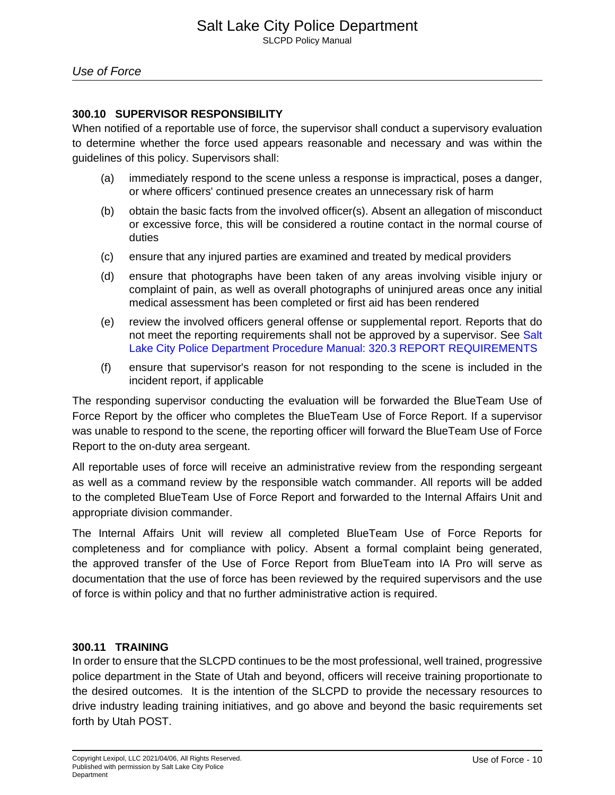## **300.10 SUPERVISOR RESPONSIBILITY**

When notified of a reportable use of force, the supervisor shall conduct a supervisory evaluation to determine whether the force used appears reasonable and necessary and was within the guidelines of this policy. Supervisors shall:

- (a) immediately respond to the scene unless a response is impractical, poses a danger, or where officers' continued presence creates an unnecessary risk of harm
- (b) obtain the basic facts from the involved officer(s). Absent an allegation of misconduct or excessive force, this will be considered a routine contact in the normal course of duties
- (c) ensure that any injured parties are examined and treated by medical providers
- (d) ensure that photographs have been taken of any areas involving visible injury or complaint of pain, as well as overall photographs of uninjured areas once any initial medical assessment has been completed or first aid has been rendered
- (e) review the involved officers general offense or supplemental report. Reports that do not meet the reporting requirements shall not be approved by a supervisor. See [Salt](1320814458649424980) [Lake City Police Department Procedure Manual: 320.3 REPORT REQUIREMENTS](1320814458649424980)
- (f) ensure that supervisor's reason for not responding to the scene is included in the incident report, if applicable

The responding supervisor conducting the evaluation will be forwarded the BlueTeam Use of Force Report by the officer who completes the BlueTeam Use of Force Report. If a supervisor was unable to respond to the scene, the reporting officer will forward the BlueTeam Use of Force Report to the on-duty area sergeant.

All reportable uses of force will receive an administrative review from the responding sergeant as well as a command review by the responsible watch commander. All reports will be added to the completed BlueTeam Use of Force Report and forwarded to the Internal Affairs Unit and appropriate division commander.

The Internal Affairs Unit will review all completed BlueTeam Use of Force Reports for completeness and for compliance with policy. Absent a formal complaint being generated, the approved transfer of the Use of Force Report from BlueTeam into IA Pro will serve as documentation that the use of force has been reviewed by the required supervisors and the use of force is within policy and that no further administrative action is required.

## **300.11 TRAINING**

In order to ensure that the SLCPD continues to be the most professional, well trained, progressive police department in the State of Utah and beyond, officers will receive training proportionate to the desired outcomes. It is the intention of the SLCPD to provide the necessary resources to drive industry leading training initiatives, and go above and beyond the basic requirements set forth by Utah POST.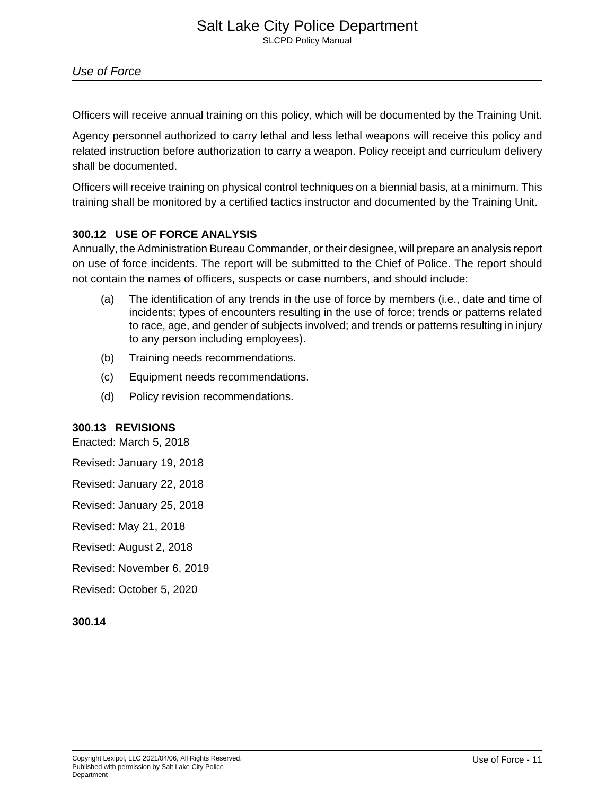Officers will receive annual training on this policy, which will be documented by the Training Unit.

Agency personnel authorized to carry lethal and less lethal weapons will receive this policy and related instruction before authorization to carry a weapon. Policy receipt and curriculum delivery shall be documented.

Officers will receive training on physical control techniques on a biennial basis, at a minimum. This training shall be monitored by a certified tactics instructor and documented by the Training Unit.

## **300.12 USE OF FORCE ANALYSIS**

Annually, the Administration Bureau Commander, or their designee, will prepare an analysis report on use of force incidents. The report will be submitted to the Chief of Police. The report should not contain the names of officers, suspects or case numbers, and should include:

- (a) The identification of any trends in the use of force by members (i.e., date and time of incidents; types of encounters resulting in the use of force; trends or patterns related to race, age, and gender of subjects involved; and trends or patterns resulting in injury to any person including employees).
- (b) Training needs recommendations.
- (c) Equipment needs recommendations.
- (d) Policy revision recommendations.

## **300.13 REVISIONS**

Enacted: March 5, 2018

Revised: January 19, 2018

Revised: January 22, 2018

Revised: January 25, 2018

Revised: May 21, 2018

Revised: August 2, 2018

Revised: November 6, 2019

Revised: October 5, 2020

## **300.14**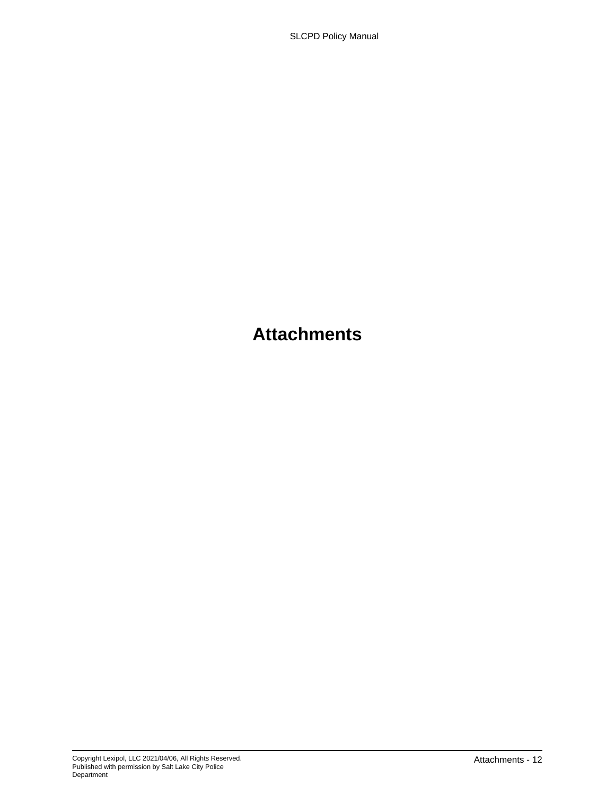## **Attachments**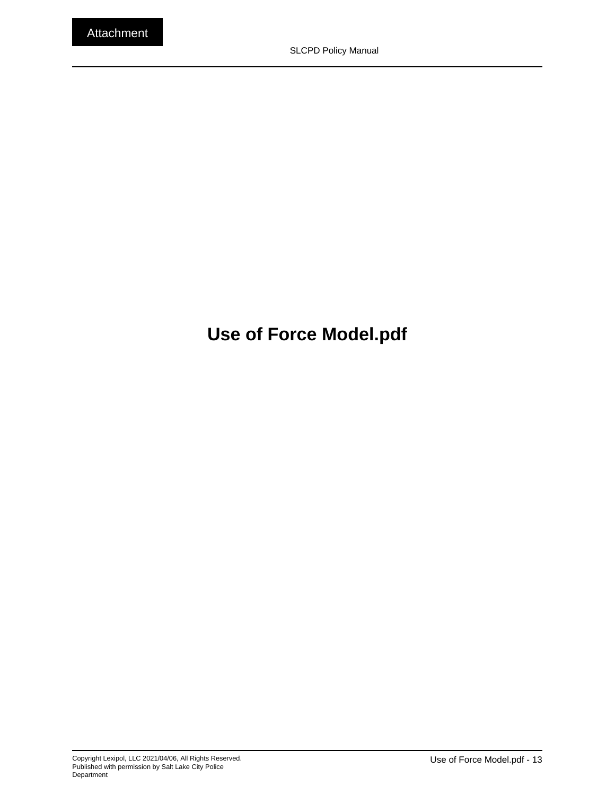## <span id="page-12-0"></span>**Use of Force Model.pdf**